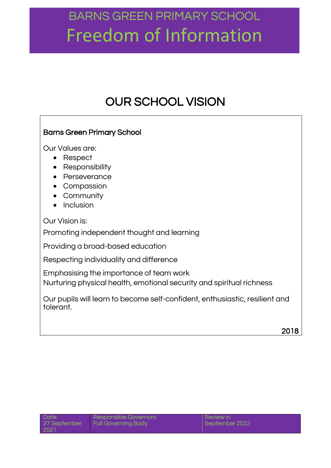### OUR SCHOOL VISION

### Barns Green Primary School

Our Values are:

- Respect
- Responsibility
- Perseverance
- Compassion
- Community
- $\bullet$  Inclusion

Our Vision is:

Promoting independent thought and learning

Providing a broad-based education

Respecting individuality and difference

Emphasising the importance of team work

Nurturing physical health, emotional security and spiritual richness

Our pupils will learn to become self-confident, enthusiastic, resilient and tolerant.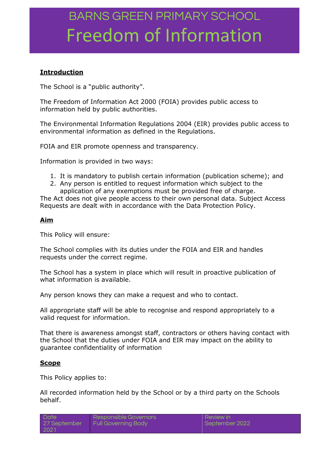### **Introduction**

The School is a "public authority".

The Freedom of Information Act 2000 (FOIA) provides public access to information held by public authorities.

The Environmental Information Regulations 2004 (EIR) provides public access to environmental information as defined in the Regulations.

FOIA and EIR promote openness and transparency.

Information is provided in two ways:

- 1. It is mandatory to publish certain information (publication scheme); and
- 2. Any person is entitled to request information which subject to the application of any exemptions must be provided free of charge.

The Act does not give people access to their own personal data. Subject Access Requests are dealt with in accordance with the Data Protection Policy.

#### **Aim**

This Policy will ensure:

The School complies with its duties under the FOIA and EIR and handles requests under the correct regime.

The School has a system in place which will result in proactive publication of what information is available.

Any person knows they can make a request and who to contact.

All appropriate staff will be able to recognise and respond appropriately to a valid request for information.

That there is awareness amongst staff, contractors or others having contact with the School that the duties under FOIA and EIR may impact on the ability to guarantee confidentiality of information

#### **Scope**

This Policy applies to:

All recorded information held by the School or by a third party on the Schools behalf.

| <b>Date</b>  | Responsible Governors      | Review in      |
|--------------|----------------------------|----------------|
| 27 September | <b>Full Governing Body</b> | September 2022 |
| 202          |                            |                |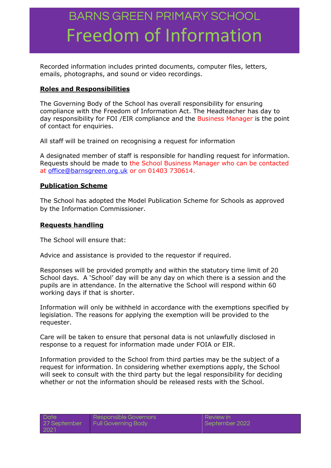Recorded information includes printed documents, computer files, letters, emails, photographs, and sound or video recordings.

#### **Roles and Responsibilities**

The Governing Body of the School has overall responsibility for ensuring compliance with the Freedom of Information Act. The Headteacher has day to day responsibility for FOI /EIR compliance and the Business Manager is the point of contact for enquiries.

All staff will be trained on recognising a request for information

A designated member of staff is responsible for handling request for information. Requests should be made to the School Business Manager who can be contacted at [office@barnsgreen.org.uk](mailto:office@barnsgreen.org.uk) or on 01403 730614.

#### **Publication Scheme**

The School has adopted the Model Publication Scheme for Schools as approved by the Information Commissioner.

#### **Requests handling**

The School will ensure that:

Advice and assistance is provided to the requestor if required.

Responses will be provided promptly and within the statutory time limit of 20 School days. A 'School' day will be any day on which there is a session and the pupils are in attendance. In the alternative the School will respond within 60 working days if that is shorter.

Information will only be withheld in accordance with the exemptions specified by legislation. The reasons for applying the exemption will be provided to the requester.

Care will be taken to ensure that personal data is not unlawfully disclosed in response to a request for information made under FOIA or EIR.

Information provided to the School from third parties may be the subject of a request for information. In considering whether exemptions apply, the School will seek to consult with the third party but the legal responsibility for deciding whether or not the information should be released rests with the School.